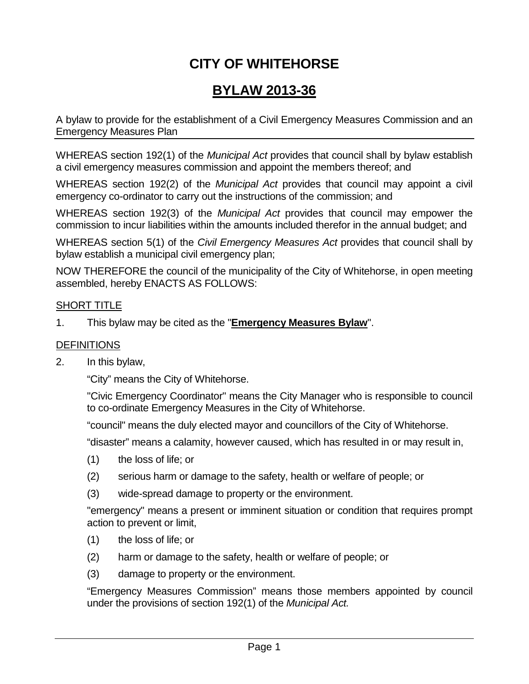# **CITY OF WHITEHORSE**

## **BYLAW 2013-36**

A bylaw to provide for the establishment of a Civil Emergency Measures Commission and an Emergency Measures Plan

WHEREAS section 192(1) of the *Municipal Act* provides that council shall by bylaw establish a civil emergency measures commission and appoint the members thereof; and

WHEREAS section 192(2) of the *Municipal Act* provides that council may appoint a civil emergency co-ordinator to carry out the instructions of the commission; and

WHEREAS section 192(3) of the *Municipal Act* provides that council may empower the commission to incur liabilities within the amounts included therefor in the annual budget; and

WHEREAS section 5(1) of the *Civil Emergency Measures Act* provides that council shall by bylaw establish a municipal civil emergency plan;

NOW THEREFORE the council of the municipality of the City of Whitehorse, in open meeting assembled, hereby ENACTS AS FOLLOWS:

#### SHORT TITLE

1. This bylaw may be cited as the "**Emergency Measures Bylaw**".

#### **DEFINITIONS**

2. In this bylaw,

"City" means the City of Whitehorse.

"Civic Emergency Coordinator" means the City Manager who is responsible to council to co-ordinate Emergency Measures in the City of Whitehorse.

"council" means the duly elected mayor and councillors of the City of Whitehorse.

"disaster" means a calamity, however caused, which has resulted in or may result in,

- (1) the loss of life; or
- (2) serious harm or damage to the safety, health or welfare of people; or
- (3) wide-spread damage to property or the environment.

"emergency" means a present or imminent situation or condition that requires prompt action to prevent or limit,

- (1) the loss of life; or
- (2) harm or damage to the safety, health or welfare of people; or
- (3) damage to property or the environment.

"Emergency Measures Commission" means those members appointed by council under the provisions of section 192(1) of the *Municipal Act.*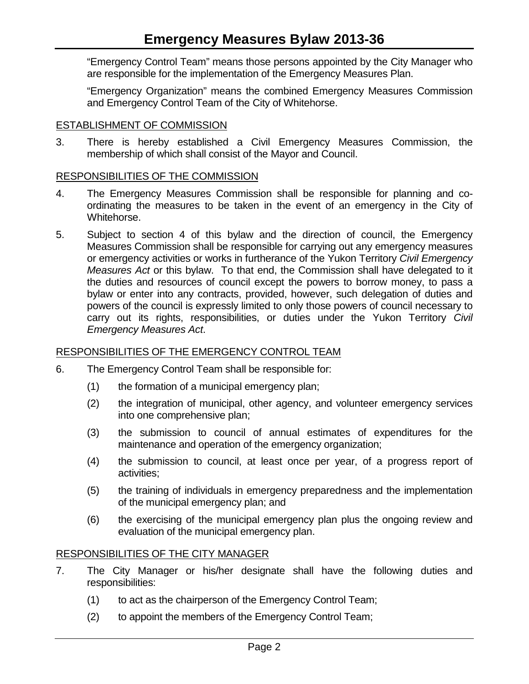"Emergency Control Team" means those persons appointed by the City Manager who are responsible for the implementation of the Emergency Measures Plan.

"Emergency Organization" means the combined Emergency Measures Commission and Emergency Control Team of the City of Whitehorse.

#### ESTABLISHMENT OF COMMISSION

3. There is hereby established a Civil Emergency Measures Commission, the membership of which shall consist of the Mayor and Council.

#### RESPONSIBILITIES OF THE COMMISSION

- 4. The Emergency Measures Commission shall be responsible for planning and coordinating the measures to be taken in the event of an emergency in the City of Whitehorse.
- 5. Subject to section 4 of this bylaw and the direction of council, the Emergency Measures Commission shall be responsible for carrying out any emergency measures or emergency activities or works in furtherance of the Yukon Territory *Civil Emergency Measures Act* or this bylaw. To that end, the Commission shall have delegated to it the duties and resources of council except the powers to borrow money, to pass a bylaw or enter into any contracts, provided, however, such delegation of duties and powers of the council is expressly limited to only those powers of council necessary to carry out its rights, responsibilities, or duties under the Yukon Territory *Civil Emergency Measures Act*.

## RESPONSIBILITIES OF THE EMERGENCY CONTROL TEAM

- 6. The Emergency Control Team shall be responsible for:
	- (1) the formation of a municipal emergency plan;
	- (2) the integration of municipal, other agency, and volunteer emergency services into one comprehensive plan;
	- (3) the submission to council of annual estimates of expenditures for the maintenance and operation of the emergency organization;
	- (4) the submission to council, at least once per year, of a progress report of activities;
	- (5) the training of individuals in emergency preparedness and the implementation of the municipal emergency plan; and
	- (6) the exercising of the municipal emergency plan plus the ongoing review and evaluation of the municipal emergency plan.

#### RESPONSIBILITIES OF THE CITY MANAGER

- 7. The City Manager or his/her designate shall have the following duties and responsibilities:
	- (1) to act as the chairperson of the Emergency Control Team;
	- (2) to appoint the members of the Emergency Control Team;